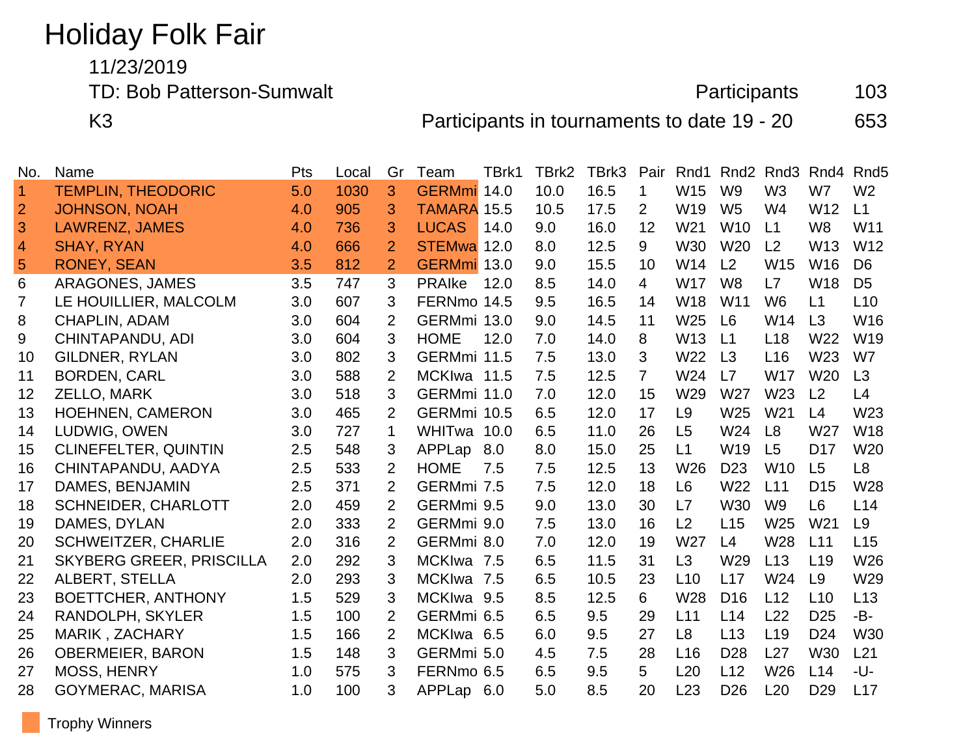# Holiday Folk Fair

11/23/2019

TD: Bob Patterson-Sumwalt **Participants** 103

K3 **Participants in tournaments to date 19 - 20** 653

| No.            | Name                            | Pts | Local | Gr             | Team               | TBrk1 | TBrk2 | TBrk3 | Pair           | Rnd1            | Rnd <sub>2</sub> | Rnd <sub>3</sub> | Rnd4            | Rnd <sub>5</sub> |
|----------------|---------------------------------|-----|-------|----------------|--------------------|-------|-------|-------|----------------|-----------------|------------------|------------------|-----------------|------------------|
| $\vert$ 1      | <b>TEMPLIN, THEODORIC</b>       | 5.0 | 1030  | 3              | <b>GERMmi</b>      | 14.0  | 10.0  | 16.5  | 1              | W15             | W <sub>9</sub>   | W <sub>3</sub>   | W7              | W <sub>2</sub>   |
| $\overline{2}$ | <b>JOHNSON, NOAH</b>            | 4.0 | 905   | 3              | <b>TAMARA 15.5</b> |       | 10.5  | 17.5  | 2              | W19             | W <sub>5</sub>   | W <sub>4</sub>   | W12             | L1               |
| 3              | <b>LAWRENZ, JAMES</b>           | 4.0 | 736   | 3              | <b>LUCAS</b>       | 14.0  | 9.0   | 16.0  | 12             | W <sub>21</sub> | <b>W10</b>       | L1               | W <sub>8</sub>  | W11              |
| $\overline{4}$ | <b>SHAY, RYAN</b>               | 4.0 | 666   | $\overline{2}$ | STEMwa 12.0        |       | 8.0   | 12.5  | 9              | <b>W30</b>      | <b>W20</b>       | L <sub>2</sub>   | W13             | W12              |
| $\sqrt{5}$     | <b>RONEY, SEAN</b>              | 3.5 | 812   | $\overline{2}$ | GERMmi 13.0        |       | 9.0   | 15.5  | 10             | W14             | L2               | W15              | W16             | D <sub>6</sub>   |
| 6              | <b>ARAGONES, JAMES</b>          | 3.5 | 747   | 3              | <b>PRAIKE</b>      | 12.0  | 8.5   | 14.0  | $\overline{4}$ | W <sub>17</sub> | W <sub>8</sub>   | L7               | <b>W18</b>      | D <sub>5</sub>   |
| 7              | LE HOUILLIER, MALCOLM           | 3.0 | 607   | 3              | FERNmo 14.5        |       | 9.5   | 16.5  | 14             | <b>W18</b>      | W <sub>11</sub>  | W <sub>6</sub>   | L1              | L10              |
| 8              | CHAPLIN, ADAM                   | 3.0 | 604   | $\overline{2}$ | GERMmi 13.0        |       | 9.0   | 14.5  | 11             | W25             | L <sub>6</sub>   | W14              | L3              | W16              |
| 9              | CHINTAPANDU, ADI                | 3.0 | 604   | 3              | <b>HOME</b>        | 12.0  | 7.0   | 14.0  | 8              | W <sub>13</sub> | L1               | L18              | W22             | W19              |
| 10             | <b>GILDNER, RYLAN</b>           | 3.0 | 802   | 3              | GERMmi 11.5        |       | 7.5   | 13.0  | 3              | W22             | L3               | L16              | W23             | W7               |
| 11             | <b>BORDEN, CARL</b>             | 3.0 | 588   | $\overline{2}$ | MCKIwa 11.5        |       | 7.5   | 12.5  | $\overline{7}$ | W24             | L7               | <b>W17</b>       | W20             | L3               |
| 12             | ZELLO, MARK                     | 3.0 | 518   | 3              | GERMmi 11.0        |       | 7.0   | 12.0  | 15             | W29             | W27              | W <sub>23</sub>  | L2              | L4               |
| 13             | <b>HOEHNEN, CAMERON</b>         | 3.0 | 465   | $\overline{2}$ | GERMmi 10.5        |       | 6.5   | 12.0  | 17             | L <sub>9</sub>  | W25              | W <sub>21</sub>  | L4              | W23              |
| 14             | LUDWIG, OWEN                    | 3.0 | 727   | $\mathbf 1$    | WHITwa 10.0        |       | 6.5   | 11.0  | 26             | L <sub>5</sub>  | W24              | L <sub>8</sub>   | W27             | <b>W18</b>       |
| 15             | <b>CLINEFELTER, QUINTIN</b>     | 2.5 | 548   | 3              | APPLap             | 8.0   | 8.0   | 15.0  | 25             | L1              | W <sub>19</sub>  | L5               | D <sub>17</sub> | W20              |
| 16             | CHINTAPANDU, AADYA              | 2.5 | 533   | 2              | <b>HOME</b>        | 7.5   | 7.5   | 12.5  | 13             | W <sub>26</sub> | D <sub>23</sub>  | <b>W10</b>       | L5              | L8               |
| 17             | DAMES, BENJAMIN                 | 2.5 | 371   | $\overline{2}$ | GERMmi 7.5         |       | 7.5   | 12.0  | 18             | L <sub>6</sub>  | W22              | L11              | D <sub>15</sub> | W28              |
| 18             | <b>SCHNEIDER, CHARLOTT</b>      | 2.0 | 459   | $\overline{2}$ | GERMmi 9.5         |       | 9.0   | 13.0  | 30             | L7              | <b>W30</b>       | W <sub>9</sub>   | L <sub>6</sub>  | L14              |
| 19             | DAMES, DYLAN                    | 2.0 | 333   | $\overline{2}$ | GERMmi 9.0         |       | 7.5   | 13.0  | 16             | L2              | L15              | W <sub>25</sub>  | W <sub>21</sub> | L <sub>9</sub>   |
| 20             | <b>SCHWEITZER, CHARLIE</b>      | 2.0 | 316   | $\overline{2}$ | GERMmi 8.0         |       | 7.0   | 12.0  | 19             | W <sub>27</sub> | L4               | W <sub>28</sub>  | L11             | L15              |
| 21             | <b>SKYBERG GREER, PRISCILLA</b> | 2.0 | 292   | 3              | MCKIwa 7.5         |       | 6.5   | 11.5  | 31             | L3              | W29              | L13              | L <sub>19</sub> | W26              |
| 22             | <b>ALBERT, STELLA</b>           | 2.0 | 293   | 3              | MCKIwa 7.5         |       | 6.5   | 10.5  | 23             | L10             | L17              | W24              | L <sub>9</sub>  | W29              |
| 23             | <b>BOETTCHER, ANTHONY</b>       | 1.5 | 529   | 3              | MCKIwa 9.5         |       | 8.5   | 12.5  | 6              | W28             | D <sub>16</sub>  | L12              | L10             | L13              |
| 24             | RANDOLPH, SKYLER                | 1.5 | 100   | $\overline{2}$ | GERMmi 6.5         |       | 6.5   | 9.5   | 29             | L11             | L14              | L22              | D <sub>25</sub> | -B-              |
| 25             | MARIK, ZACHARY                  | 1.5 | 166   | $\overline{2}$ | MCKIwa 6.5         |       | 6.0   | 9.5   | 27             | L <sub>8</sub>  | L13              | L <sub>19</sub>  | D <sub>24</sub> | <b>W30</b>       |
| 26             | <b>OBERMEIER, BARON</b>         | 1.5 | 148   | 3              | GERMmi 5.0         |       | 4.5   | 7.5   | 28             | L16             | D <sub>28</sub>  | L27              | W30             | L21              |
| 27             | <b>MOSS, HENRY</b>              | 1.0 | 575   | 3              | FERNmo 6.5         |       | 6.5   | 9.5   | 5              | L20             | L12              | W <sub>26</sub>  | L14             | -U-              |
| 28             | <b>GOYMERAC, MARISA</b>         | 1.0 | 100   | 3              | APPLap 6.0         |       | 5.0   | 8.5   | 20             | L23             | D <sub>26</sub>  | L20              | D <sub>29</sub> | L17              |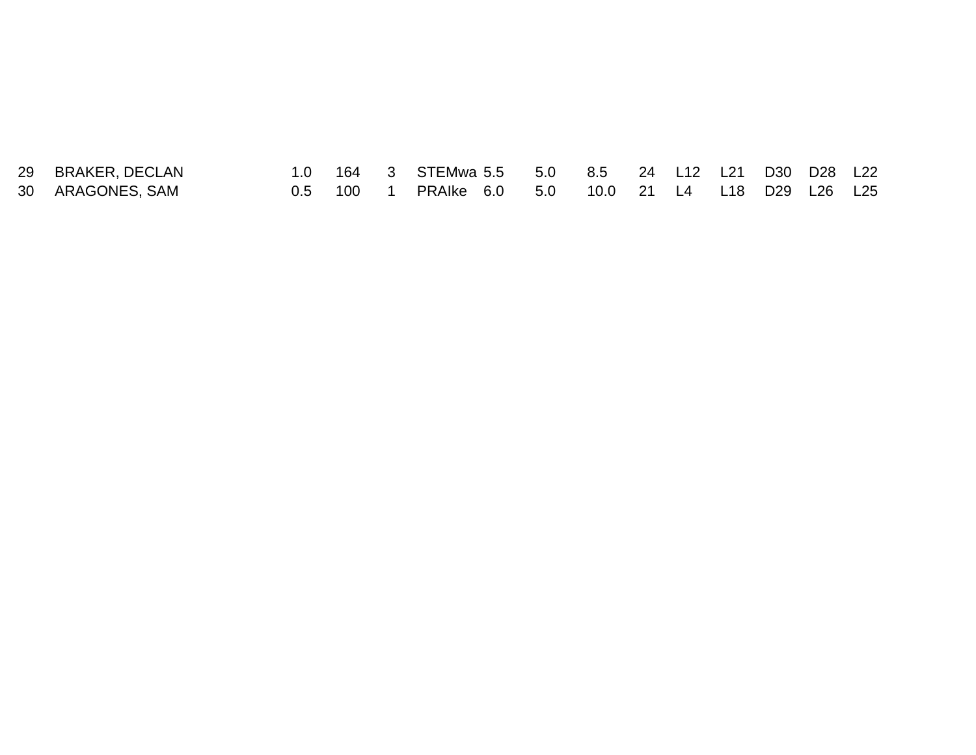| 29 BRAKER, DECLAN |  | 1.0 164 3 STEMwa 5.5 5.0 8.5 24 L12 L21 D30 D28 L22 |  |  |  |  |
|-------------------|--|-----------------------------------------------------|--|--|--|--|
| 30 ARAGONES, SAM  |  | 0.5 100 1 PRAIke 6.0 5.0 10.0 21 L4 L18 D29 L26 L25 |  |  |  |  |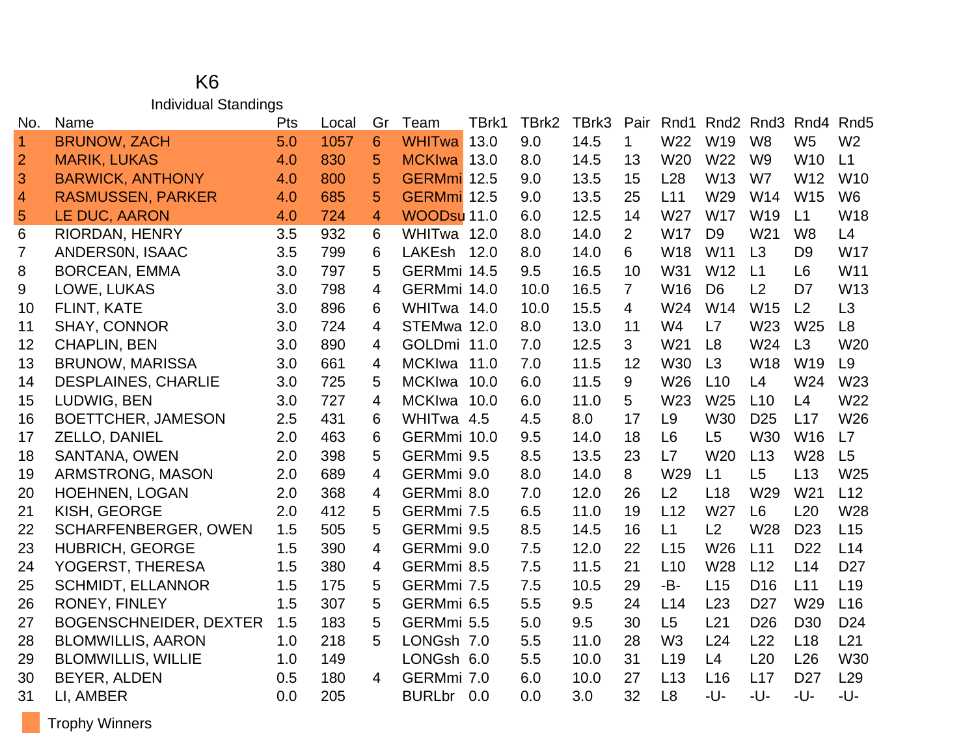#### K6 Individual Standings

| No.            | Name                          | Pts | Local | Gr | Team          | TBrk1 | TBrk2 | TBrk3 | Pair           | Rnd1            | Rnd <sub>2</sub> | Rnd3            | Rnd4            | Rnd <sub>5</sub> |
|----------------|-------------------------------|-----|-------|----|---------------|-------|-------|-------|----------------|-----------------|------------------|-----------------|-----------------|------------------|
| $\overline{1}$ | <b>BRUNOW, ZACH</b>           | 5.0 | 1057  | 6  | <b>WHITwa</b> | 13.0  | 9.0   | 14.5  | $\mathbf 1$    | W22             | W19              | W <sub>8</sub>  | W <sub>5</sub>  | W <sub>2</sub>   |
| $\overline{2}$ | <b>MARIK, LUKAS</b>           | 4.0 | 830   | 5  | MCKIwa 13.0   |       | 8.0   | 14.5  | 13             | W <sub>20</sub> | W22              | W <sub>9</sub>  | W <sub>10</sub> | L1               |
| 3              | <b>BARWICK, ANTHONY</b>       | 4.0 | 800   | 5  | GERMmi 12.5   |       | 9.0   | 13.5  | 15             | L <sub>28</sub> | W13              | W7              | W12             | W <sub>10</sub>  |
| $\overline{4}$ | <b>RASMUSSEN, PARKER</b>      | 4.0 | 685   | 5  | GERMmi 12.5   |       | 9.0   | 13.5  | 25             | L11             | W29              | W14             | W15             | W <sub>6</sub>   |
| 5              | LE DUC, AARON                 | 4.0 | 724   | 4  | WOODsu 11.0   |       | 6.0   | 12.5  | 14             | W27             | <b>W17</b>       | W <sub>19</sub> | L1              | W18              |
| 6              | RIORDAN, HENRY                | 3.5 | 932   | 6  | WHITwa 12.0   |       | 8.0   | 14.0  | $\overline{2}$ | <b>W17</b>      | D <sub>9</sub>   | W21             | W <sub>8</sub>  | L4               |
| 7              | <b>ANDERSON, ISAAC</b>        | 3.5 | 799   | 6  | LAKEsh 12.0   |       | 8.0   | 14.0  | 6              | W18             | W <sub>11</sub>  | L3              | D <sub>9</sub>  | <b>W17</b>       |
| 8              | <b>BORCEAN, EMMA</b>          | 3.0 | 797   | 5  | GERMmi 14.5   |       | 9.5   | 16.5  | 10             | W31             | W12              | L1              | L <sub>6</sub>  | W11              |
| 9              | LOWE, LUKAS                   | 3.0 | 798   | 4  | GERMmi 14.0   |       | 10.0  | 16.5  | $\overline{7}$ | W16             | D <sub>6</sub>   | L2              | D <sub>7</sub>  | W13              |
| 10             | FLINT, KATE                   | 3.0 | 896   | 6  | WHITwa 14.0   |       | 10.0  | 15.5  | 4              | W24             | W14              | W15             | L2              | L3               |
| 11             | <b>SHAY, CONNOR</b>           | 3.0 | 724   | 4  | STEMwa 12.0   |       | 8.0   | 13.0  | 11             | W4              | L7               | W <sub>23</sub> | W <sub>25</sub> | L <sub>8</sub>   |
| 12             | <b>CHAPLIN, BEN</b>           | 3.0 | 890   | 4  | GOLDmi 11.0   |       | 7.0   | 12.5  | 3              | W21             | L8               | W24             | L3              | W20              |
| 13             | <b>BRUNOW, MARISSA</b>        | 3.0 | 661   | 4  | MCKIwa 11.0   |       | 7.0   | 11.5  | 12             | <b>W30</b>      | L3               | W18             | W <sub>19</sub> | L <sub>9</sub>   |
| 14             | <b>DESPLAINES, CHARLIE</b>    | 3.0 | 725   | 5  | MCKIwa 10.0   |       | 6.0   | 11.5  | 9              | W26             | L10              | L4              | W24             | W23              |
| 15             | LUDWIG, BEN                   | 3.0 | 727   | 4  | MCKIwa 10.0   |       | 6.0   | 11.0  | 5              | W <sub>23</sub> | W <sub>25</sub>  | L10             | L4              | W22              |
| 16             | <b>BOETTCHER, JAMESON</b>     | 2.5 | 431   | 6  | WHITwa 4.5    |       | 4.5   | 8.0   | 17             | L <sub>9</sub>  | W30              | D <sub>25</sub> | L17             | W26              |
| 17             | ZELLO, DANIEL                 | 2.0 | 463   | 6  | GERMmi 10.0   |       | 9.5   | 14.0  | 18             | L <sub>6</sub>  | L <sub>5</sub>   | W30             | W <sub>16</sub> | L7               |
| 18             | SANTANA, OWEN                 | 2.0 | 398   | 5  | GERMmi 9.5    |       | 8.5   | 13.5  | 23             | L7              | W <sub>20</sub>  | L13             | W28             | L5               |
| 19             | <b>ARMSTRONG, MASON</b>       | 2.0 | 689   | 4  | GERMmi 9.0    |       | 8.0   | 14.0  | 8              | W29             | L1               | L <sub>5</sub>  | L13             | W25              |
| 20             | <b>HOEHNEN, LOGAN</b>         | 2.0 | 368   | 4  | GERMmi 8.0    |       | 7.0   | 12.0  | 26             | L2              | L <sub>18</sub>  | W29             | W <sub>21</sub> | L12              |
| 21             | KISH, GEORGE                  | 2.0 | 412   | 5  | GERMmi 7.5    |       | 6.5   | 11.0  | 19             | L12             | W27              | L <sub>6</sub>  | L20             | W28              |
| 22             | <b>SCHARFENBERGER, OWEN</b>   | 1.5 | 505   | 5  | GERMmi 9.5    |       | 8.5   | 14.5  | 16             | L1              | L2               | W28             | D <sub>23</sub> | L15              |
| 23             | <b>HUBRICH, GEORGE</b>        | 1.5 | 390   | 4  | GERMmi 9.0    |       | 7.5   | 12.0  | 22             | L15             | W26              | L11             | D <sub>22</sub> | L14              |
| 24             | YOGERST, THERESA              | 1.5 | 380   | 4  | GERMmi 8.5    |       | 7.5   | 11.5  | 21             | L10             | W28              | L12             | L14             | D <sub>27</sub>  |
| 25             | <b>SCHMIDT, ELLANNOR</b>      | 1.5 | 175   | 5  | GERMmi 7.5    |       | 7.5   | 10.5  | 29             | -B-             | L15              | D <sub>16</sub> | L11             | L <sub>19</sub>  |
| 26             | RONEY, FINLEY                 | 1.5 | 307   | 5  | GERMmi 6.5    |       | 5.5   | 9.5   | 24             | L14             | L23              | D <sub>27</sub> | W <sub>29</sub> | L16              |
| 27             | <b>BOGENSCHNEIDER, DEXTER</b> | 1.5 | 183   | 5  | GERMmi 5.5    |       | 5.0   | 9.5   | 30             | L5              | L21              | D <sub>26</sub> | D <sub>30</sub> | D <sub>24</sub>  |
| 28             | <b>BLOMWILLIS, AARON</b>      | 1.0 | 218   | 5  | LONGsh 7.0    |       | 5.5   | 11.0  | 28             | W <sub>3</sub>  | L24              | L22             | L18             | L21              |
| 29             | <b>BLOMWILLIS, WILLIE</b>     | 1.0 | 149   |    | LONGsh 6.0    |       | 5.5   | 10.0  | 31             | L19             | L4               | L20             | L26             | W30              |
| 30             | BEYER, ALDEN                  | 0.5 | 180   | 4  | GERMmi 7.0    |       | 6.0   | 10.0  | 27             | L13             | L16              | L17             | D <sub>27</sub> | L <sub>29</sub>  |
| 31             | LI, AMBER                     | 0.0 | 205   |    | BURLbr 0.0    |       | 0.0   | 3.0   | 32             | L8              | -U-              | -U-             | -U-             | -U-              |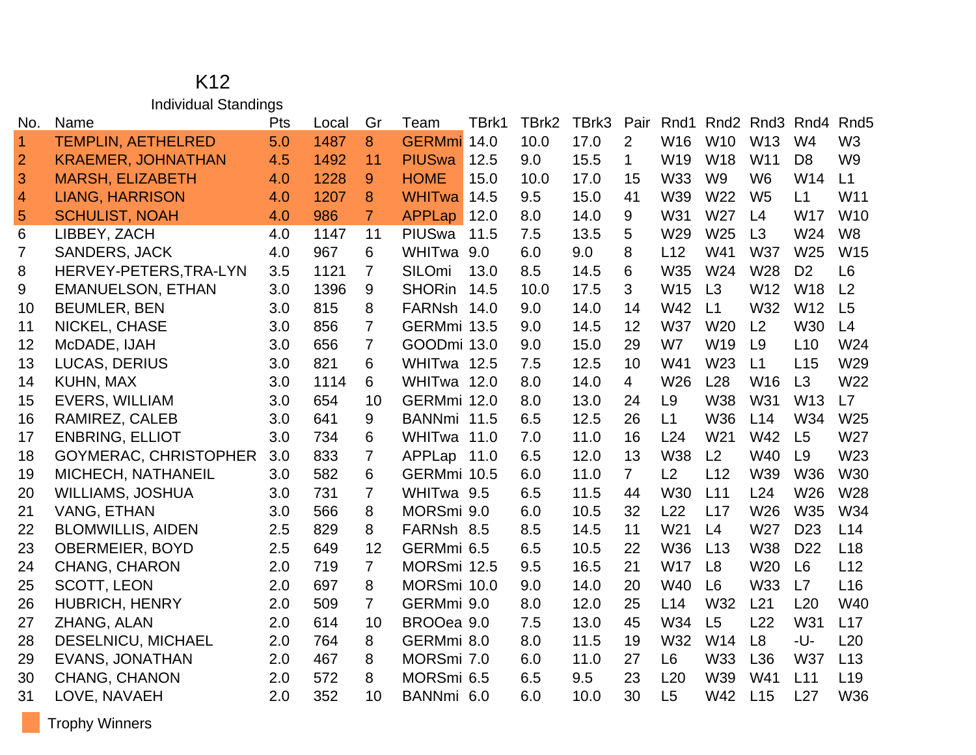#### K12 Individual Standings

| No.            | Name                         | Pts | Local | Gr             | Team          | TBrk1 | TBrk2 | TBrk3 | Pair           | Rnd1            |                 | Rnd <sub>2</sub> Rnd <sub>3</sub> | Rnd4            | Rnd <sub>5</sub> |
|----------------|------------------------------|-----|-------|----------------|---------------|-------|-------|-------|----------------|-----------------|-----------------|-----------------------------------|-----------------|------------------|
| $\vert$ 1      | <b>TEMPLIN, AETHELRED</b>    | 5.0 | 1487  | 8              | <b>GERMmi</b> | 14.0  | 10.0  | 17.0  | $\overline{2}$ | W16             | W10             | W13                               | W <sub>4</sub>  | W <sub>3</sub>   |
| $\overline{2}$ | <b>KRAEMER, JOHNATHAN</b>    | 4.5 | 1492  | 11             | <b>PIUSwa</b> | 12.5  | 9.0   | 15.5  | 1.             | W19             | <b>W18</b>      | W11                               | D <sub>8</sub>  | W <sub>9</sub>   |
| 3              | <b>MARSH, ELIZABETH</b>      | 4.0 | 1228  | 9              | <b>HOME</b>   | 15.0  | 10.0  | 17.0  | 15             | <b>W33</b>      | W <sub>9</sub>  | W <sub>6</sub>                    | W14             | L1               |
| $\overline{4}$ | <b>LIANG, HARRISON</b>       | 4.0 | 1207  | 8              | <b>WHITwa</b> | 14.5  | 9.5   | 15.0  | 41             | W39             | W22             | W <sub>5</sub>                    | L1              | W11              |
| 5              | <b>SCHULIST, NOAH</b>        | 4.0 | 986   | $\overline{7}$ | <b>APPLap</b> | 12.0  | 8.0   | 14.0  | 9              | W31             | W <sub>27</sub> | L4                                | <b>W17</b>      | W <sub>10</sub>  |
| 6              | LIBBEY, ZACH                 | 4.0 | 1147  | 11             | PIUSwa        | 11.5  | 7.5   | 13.5  | 5              | W29             | W <sub>25</sub> | L3                                | W24             | W <sub>8</sub>   |
| $\overline{7}$ | <b>SANDERS, JACK</b>         | 4.0 | 967   | 6              | WHITwa 9.0    |       | 6.0   | 9.0   | 8              | L12             | W41             | <b>W37</b>                        | W <sub>25</sub> | W15              |
| 8              | HERVEY-PETERS, TRA-LYN       | 3.5 | 1121  | $\overline{7}$ | SILOmi        | 13.0  | 8.5   | 14.5  | 6              | <b>W35</b>      | W24             | W28                               | D <sub>2</sub>  | L <sub>6</sub>   |
| 9              | <b>EMANUELSON, ETHAN</b>     | 3.0 | 1396  | 9              | <b>SHORin</b> | 14.5  | 10.0  | 17.5  | 3              | W15             | L3              | W12                               | W18             | L2               |
| 10             | <b>BEUMLER, BEN</b>          | 3.0 | 815   | 8              | FARNsh 14.0   |       | 9.0   | 14.0  | 14             | W42             | L1              | W32                               | W12             | L5               |
| 11             | NICKEL, CHASE                | 3.0 | 856   | $\overline{7}$ | GERMmi 13.5   |       | 9.0   | 14.5  | 12             | <b>W37</b>      | <b>W20</b>      | L <sub>2</sub>                    | <b>W30</b>      | L4               |
| 12             | McDADE, IJAH                 | 3.0 | 656   | $\overline{7}$ | GOODmi 13.0   |       | 9.0   | 15.0  | 29             | W7              | W19             | L9                                | L10             | W24              |
| 13             | <b>LUCAS, DERIUS</b>         | 3.0 | 821   | 6              | WHITwa 12.5   |       | 7.5   | 12.5  | 10             | W41             | W <sub>23</sub> | L1                                | L15             | W29              |
| 14             | KUHN, MAX                    | 3.0 | 1114  | 6              | WHITwa 12.0   |       | 8.0   | 14.0  | $\overline{4}$ | W26             | L28             | W16                               | L3              | W22              |
| 15             | <b>EVERS, WILLIAM</b>        | 3.0 | 654   | 10             | GERMmi 12.0   |       | 8.0   | 13.0  | 24             | L <sub>9</sub>  | <b>W38</b>      | W31                               | W <sub>13</sub> | L7               |
| 16             | RAMIREZ, CALEB               | 3.0 | 641   | 9              | BANNmi 11.5   |       | 6.5   | 12.5  | 26             | L1              | W36             | L14                               | W34             | W25              |
| 17             | <b>ENBRING, ELLIOT</b>       | 3.0 | 734   | 6              | WHITwa 11.0   |       | 7.0   | 11.0  | 16             | L24             | W <sub>21</sub> | W42                               | L5              | W27              |
| 18             | <b>GOYMERAC, CHRISTOPHER</b> | 3.0 | 833   | $\overline{7}$ | APPLap 11.0   |       | 6.5   | 12.0  | 13             | <b>W38</b>      | L2              | W40                               | L9              | W23              |
| 19             | MICHECH, NATHANEIL           | 3.0 | 582   | 6              | GERMmi 10.5   |       | 6.0   | 11.0  | $\overline{7}$ | L2              | L12             | W39                               | <b>W36</b>      | W30              |
| 20             | <b>WILLIAMS, JOSHUA</b>      | 3.0 | 731   | $\overline{7}$ | WHITwa 9.5    |       | 6.5   | 11.5  | 44             | <b>W30</b>      | L11             | L24                               | W26             | W28              |
| 21             | <b>VANG, ETHAN</b>           | 3.0 | 566   | 8              | MORSmi 9.0    |       | 6.0   | 10.5  | 32             | L22             | L17             | W26                               | <b>W35</b>      | W34              |
| 22             | <b>BLOMWILLIS, AIDEN</b>     | 2.5 | 829   | 8              | FARNsh 8.5    |       | 8.5   | 14.5  | 11             | W <sub>21</sub> | L4              | W27                               | D <sub>23</sub> | L14              |
| 23             | <b>OBERMEIER, BOYD</b>       | 2.5 | 649   | 12             | GERMmi 6.5    |       | 6.5   | 10.5  | 22             | <b>W36</b>      | L13             | W38                               | D <sub>22</sub> | L <sub>18</sub>  |
| 24             | <b>CHANG, CHARON</b>         | 2.0 | 719   | $\overline{7}$ | MORSmi 12.5   |       | 9.5   | 16.5  | 21             | <b>W17</b>      | L8              | W20                               | L6              | L12              |
| 25             | <b>SCOTT, LEON</b>           | 2.0 | 697   | 8              | MORSmi 10.0   |       | 9.0   | 14.0  | 20             | W40             | L <sub>6</sub>  | W33                               | L7              | L16              |
| 26             | <b>HUBRICH, HENRY</b>        | 2.0 | 509   | $\overline{7}$ | GERMmi 9.0    |       | 8.0   | 12.0  | 25             | L14             | W32             | L21                               | L20             | W40              |
| 27             | ZHANG, ALAN                  | 2.0 | 614   | 10             | BROOea 9.0    |       | 7.5   | 13.0  | 45             | W34             | L5              | L22                               | W31             | L17              |
| 28             | <b>DESELNICU, MICHAEL</b>    | 2.0 | 764   | 8              | GERMmi 8.0    |       | 8.0   | 11.5  | 19             | W32             | W14             | L <sub>8</sub>                    | -U-             | L20              |
| 29             | <b>EVANS, JONATHAN</b>       | 2.0 | 467   | 8              | MORSmi 7.0    |       | 6.0   | 11.0  | 27             | L <sub>6</sub>  | W33             | L36                               | <b>W37</b>      | L13              |
| 30             | <b>CHANG, CHANON</b>         | 2.0 | 572   | 8              | MORSmi 6.5    |       | 6.5   | 9.5   | 23             | L20             | W39             | W41                               | L11             | L <sub>19</sub>  |
| 31             | LOVE, NAVAEH                 | 2.0 | 352   | 10             | BANNmi 6.0    |       | 6.0   | 10.0  | 30             | L5              | W42             | L15                               | L27             | W36              |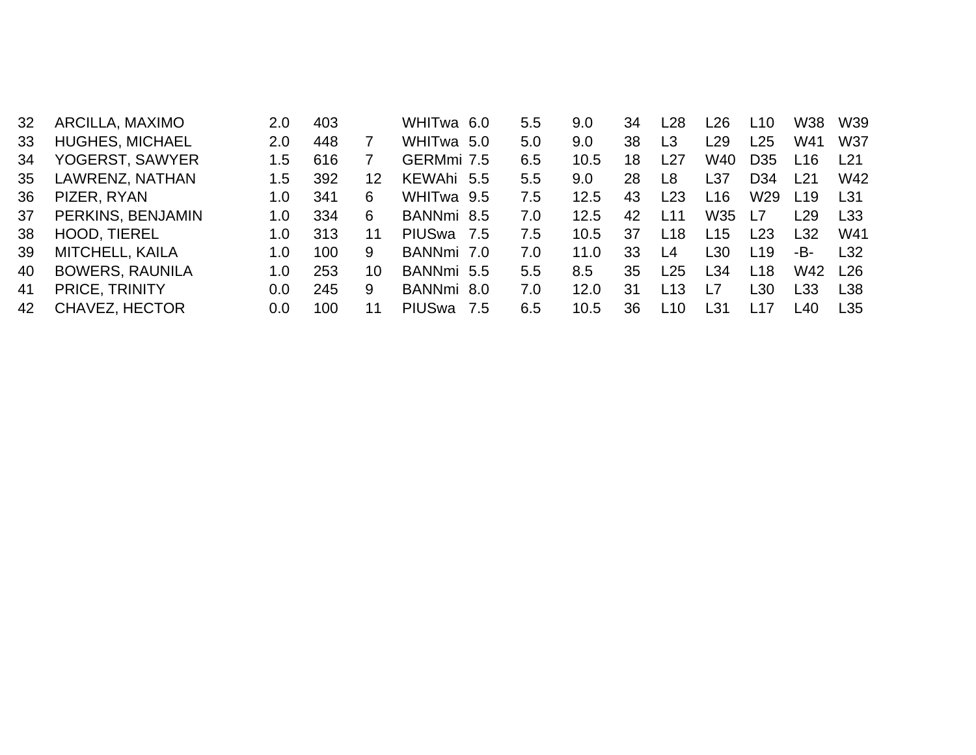| 32 | ARCILLA, MAXIMO        | 2.0         | 403 |    | WHITwa 6.0               |      | 5.5 | 9.0  | 34 | L28  | -26             | L <sub>10</sub> | W38             | W39              |
|----|------------------------|-------------|-----|----|--------------------------|------|-----|------|----|------|-----------------|-----------------|-----------------|------------------|
| 33 | <b>HUGHES, MICHAEL</b> | 2.0         | 448 |    | WHITwa 5.0               |      | 5.0 | 9.0  | 38 | L3   | L29             | L25             | W41             | W37              |
| 34 | YOGERST, SAWYER        | 1.5         | 616 |    | GERMmi 7.5               |      | 6.5 | 10.5 | 18 | L27  | W40             | D <sub>35</sub> | l 16            | l 21             |
| 35 | LAWRENZ, NATHAN        | 1.5         | 392 | 12 | KEWAhi 5.5               |      | 5.5 | 9.0  | 28 | L8   | L37             | D <sub>34</sub> | l 21            | W42              |
| 36 | PIZER, RYAN            | 1.O         | 341 | 6  | WHITwa 9.5               |      | 7.5 | 12.5 | 43 | L23  | L16             | W <sub>29</sub> | L <sub>19</sub> | L31              |
| 37 | PERKINS, BENJAMIN      | 1.0         | 334 | 6  | BANNmi 8.5               |      | 7.0 | 12.5 | 42 | l 11 | W <sub>35</sub> | <u> 17</u>      | ∟29.            | L33              |
| 38 | HOOD, TIEREL           | 1.0         | 313 | 11 | PIUSwa 7.5               |      | 7.5 | 10.5 | 37 | L18  | L <sub>15</sub> | L23             | L32             | W41              |
| 39 | MITCHELL, KAILA        | 1. $\Omega$ | 100 | 9  | BANNmi 7.0               |      | 7.0 | 11.0 | 33 | l 4  | L30             | L <sub>19</sub> | -B-             | $\overline{132}$ |
| 40 | <b>BOWERS, RAUNILA</b> | 1.0         | 253 | 10 | BANNmi 5.5               |      | 5.5 | 8.5  | 35 | L25  | L34             | L18             | W42             | L <sub>26</sub>  |
| 41 | PRICE, TRINITY         | 0.0         | 245 | 9  | BANNmi 8.0               |      | 7.0 | 12.0 | 31 | L13  | $\overline{1}$  | L30             | l 33            | L38              |
| 42 | <b>CHAVEZ, HECTOR</b>  | 0.0         | 100 |    | <b>PIUS<sub>wa</sub></b> | -7.5 | 6.5 | 10.5 | 36 | L10  | L31             | l 17            | l 40            | L35              |
|    |                        |             |     |    |                          |      |     |      |    |      |                 |                 |                 |                  |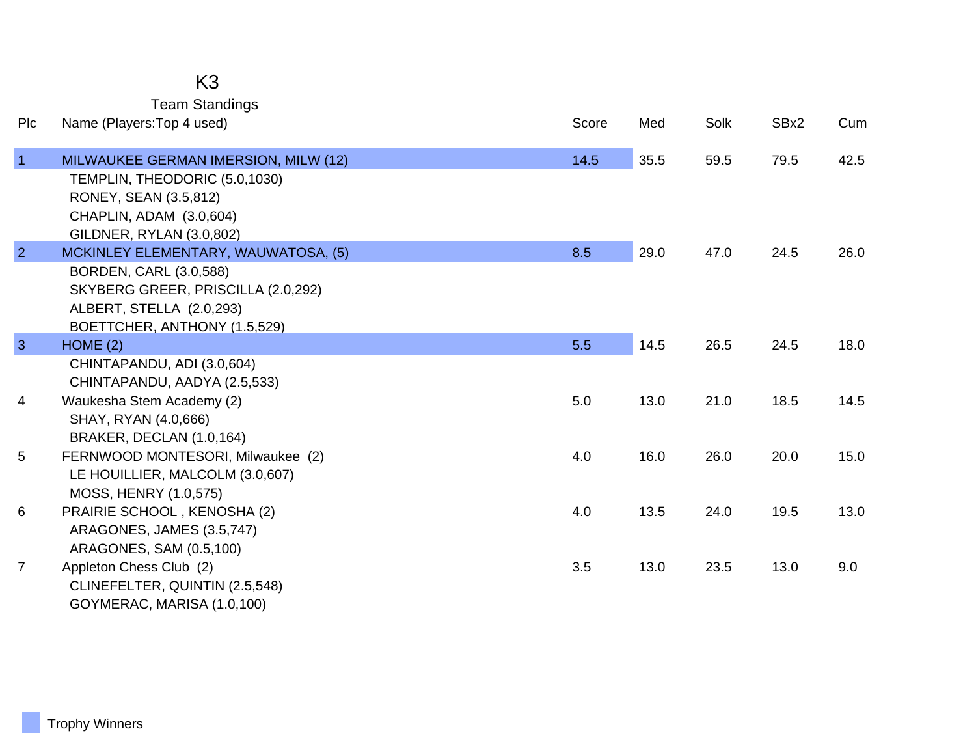## K3

Team Standings

| Plc            | Name (Players: Top 4 used)                                 | Score | Med  | Solk | SBx2 | Cum  |
|----------------|------------------------------------------------------------|-------|------|------|------|------|
| $\overline{1}$ | MILWAUKEE GERMAN IMERSION, MILW (12)                       | 14.5  | 35.5 | 59.5 | 79.5 | 42.5 |
|                | TEMPLIN, THEODORIC (5.0,1030)                              |       |      |      |      |      |
|                | RONEY, SEAN (3.5,812)                                      |       |      |      |      |      |
|                | CHAPLIN, ADAM (3.0,604)                                    |       |      |      |      |      |
|                | GILDNER, RYLAN (3.0,802)                                   |       |      |      |      |      |
| $\overline{2}$ | MCKINLEY ELEMENTARY, WAUWATOSA, (5)                        | 8.5   | 29.0 | 47.0 | 24.5 | 26.0 |
|                | BORDEN, CARL (3.0,588)                                     |       |      |      |      |      |
|                | SKYBERG GREER, PRISCILLA (2.0,292)                         |       |      |      |      |      |
|                | ALBERT, STELLA (2.0,293)                                   |       |      |      |      |      |
|                | BOETTCHER, ANTHONY (1.5,529)                               |       |      |      |      |      |
| $\mathbf{3}$   | HOME(2)                                                    | 5.5   | 14.5 | 26.5 | 24.5 | 18.0 |
|                | CHINTAPANDU, ADI (3.0,604)<br>CHINTAPANDU, AADYA (2.5,533) |       |      |      |      |      |
| 4              | Waukesha Stem Academy (2)                                  | 5.0   | 13.0 | 21.0 | 18.5 | 14.5 |
|                | SHAY, RYAN (4.0,666)                                       |       |      |      |      |      |
|                | BRAKER, DECLAN (1.0,164)                                   |       |      |      |      |      |
| 5              | FERNWOOD MONTESORI, Milwaukee (2)                          | 4.0   | 16.0 | 26.0 | 20.0 | 15.0 |
|                | LE HOUILLIER, MALCOLM (3.0,607)                            |       |      |      |      |      |
|                | MOSS, HENRY (1.0,575)                                      |       |      |      |      |      |
| 6              | PRAIRIE SCHOOL, KENOSHA (2)                                | 4.0   | 13.5 | 24.0 | 19.5 | 13.0 |
|                | ARAGONES, JAMES (3.5,747)                                  |       |      |      |      |      |
|                | ARAGONES, SAM (0.5,100)                                    |       |      |      |      |      |
| $\overline{7}$ | Appleton Chess Club (2)                                    | 3.5   | 13.0 | 23.5 | 13.0 | 9.0  |
|                | CLINEFELTER, QUINTIN (2.5,548)                             |       |      |      |      |      |
|                | GOYMERAC, MARISA (1.0,100)                                 |       |      |      |      |      |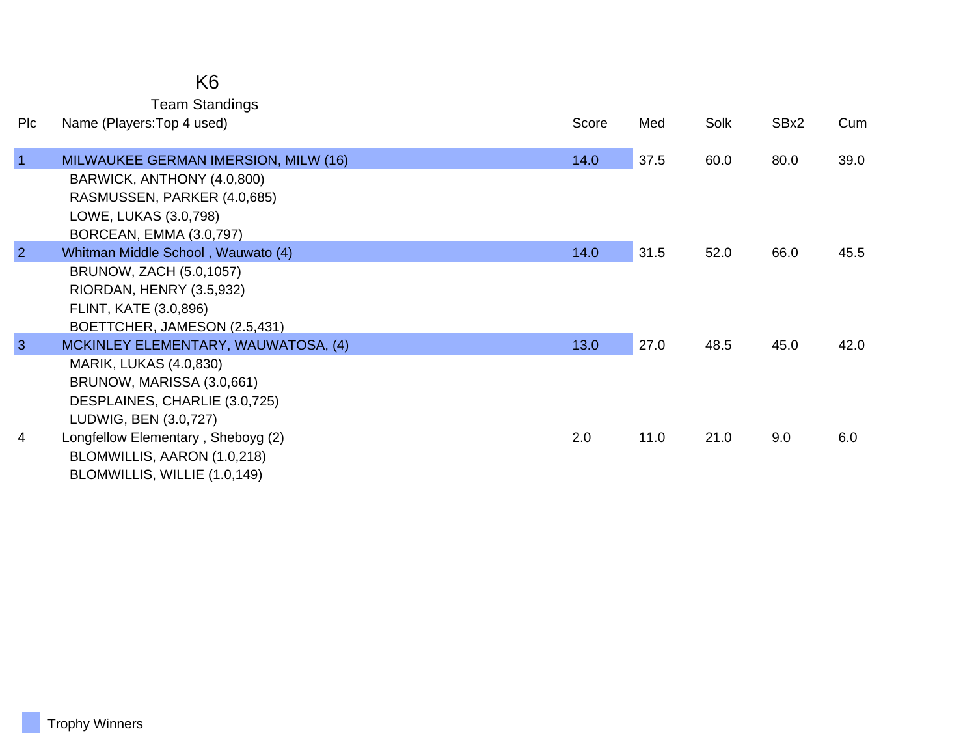### K6

Team Standings

| Plc            | Name (Players: Top 4 used)                                                                                                                                  | Score | Med  | Solk | SBx2 | Cum  |
|----------------|-------------------------------------------------------------------------------------------------------------------------------------------------------------|-------|------|------|------|------|
| $\vert$ 1      | MILWAUKEE GERMAN IMERSION, MILW (16)<br>BARWICK, ANTHONY (4.0,800)<br>RASMUSSEN, PARKER (4.0,685)<br>LOWE, LUKAS (3.0,798)<br>BORCEAN, EMMA (3.0,797)       | 14.0  | 37.5 | 60.0 | 80.0 | 39.0 |
| $\overline{2}$ | Whitman Middle School, Wauwato (4)<br>BRUNOW, ZACH (5.0,1057)<br>RIORDAN, HENRY (3.5,932)<br>FLINT, KATE (3.0,896)<br>BOETTCHER, JAMESON (2.5,431)          | 14.0  | 31.5 | 52.0 | 66.0 | 45.5 |
| $\mathbf{3}$   | MCKINLEY ELEMENTARY, WAUWATOSA, (4)<br><b>MARIK, LUKAS (4.0,830)</b><br>BRUNOW, MARISSA (3.0,661)<br>DESPLAINES, CHARLIE (3.0,725)<br>LUDWIG, BEN (3.0,727) | 13.0  | 27.0 | 48.5 | 45.0 | 42.0 |
| 4              | Longfellow Elementary, Sheboyg (2)<br>BLOMWILLIS, AARON (1.0,218)<br>BLOMWILLIS, WILLIE (1.0,149)                                                           | 2.0   | 11.0 | 21.0 | 9.0  | 6.0  |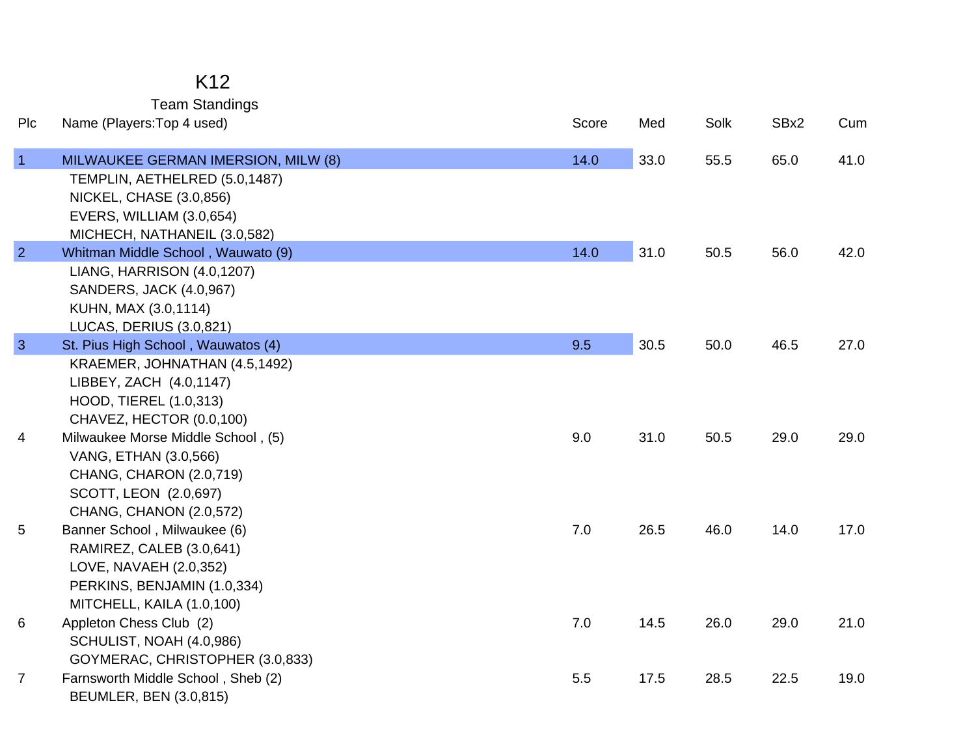Team Standings

| Plc            | Name (Players: Top 4 used)          | Score | Med  | Solk | SBx2 | Cum  |
|----------------|-------------------------------------|-------|------|------|------|------|
| $\overline{1}$ | MILWAUKEE GERMAN IMERSION, MILW (8) | 14.0  | 33.0 | 55.5 | 65.0 | 41.0 |
|                | TEMPLIN, AETHELRED (5.0,1487)       |       |      |      |      |      |
|                | <b>NICKEL, CHASE (3.0,856)</b>      |       |      |      |      |      |
|                | EVERS, WILLIAM (3.0,654)            |       |      |      |      |      |
|                | MICHECH, NATHANEIL (3.0,582)        |       |      |      |      |      |
| $\overline{2}$ | Whitman Middle School, Wauwato (9)  | 14.0  | 31.0 | 50.5 | 56.0 | 42.0 |
|                | LIANG, HARRISON (4.0,1207)          |       |      |      |      |      |
|                | SANDERS, JACK (4.0,967)             |       |      |      |      |      |
|                | KUHN, MAX (3.0,1114)                |       |      |      |      |      |
|                | <b>LUCAS, DERIUS (3.0,821)</b>      |       |      |      |      |      |
| $\overline{3}$ | St. Pius High School, Wauwatos (4)  | 9.5   | 30.5 | 50.0 | 46.5 | 27.0 |
|                | KRAEMER, JOHNATHAN (4.5,1492)       |       |      |      |      |      |
|                | LIBBEY, ZACH (4.0,1147)             |       |      |      |      |      |
|                | HOOD, TIEREL (1.0,313)              |       |      |      |      |      |
|                | CHAVEZ, HECTOR (0.0,100)            |       |      |      |      |      |
| 4              | Milwaukee Morse Middle School, (5)  | 9.0   | 31.0 | 50.5 | 29.0 | 29.0 |
|                | VANG, ETHAN (3.0,566)               |       |      |      |      |      |
|                | CHANG, CHARON (2.0,719)             |       |      |      |      |      |
|                | SCOTT, LEON (2.0,697)               |       |      |      |      |      |
|                | <b>CHANG, CHANON (2.0,572)</b>      |       |      |      |      |      |
| 5              | Banner School, Milwaukee (6)        | 7.0   | 26.5 | 46.0 | 14.0 | 17.0 |
|                | RAMIREZ, CALEB (3.0,641)            |       |      |      |      |      |
|                | LOVE, NAVAEH (2.0,352)              |       |      |      |      |      |
|                | PERKINS, BENJAMIN (1.0,334)         |       |      |      |      |      |
|                | MITCHELL, KAILA (1.0,100)           |       |      |      |      |      |
| 6              | Appleton Chess Club (2)             | 7.0   | 14.5 | 26.0 | 29.0 | 21.0 |
|                | SCHULIST, NOAH (4.0,986)            |       |      |      |      |      |
|                | GOYMERAC, CHRISTOPHER (3.0,833)     |       |      |      |      |      |
| $\overline{7}$ | Farnsworth Middle School, Sheb (2)  | 5.5   | 17.5 | 28.5 | 22.5 | 19.0 |
|                | <b>BEUMLER, BEN (3.0,815)</b>       |       |      |      |      |      |